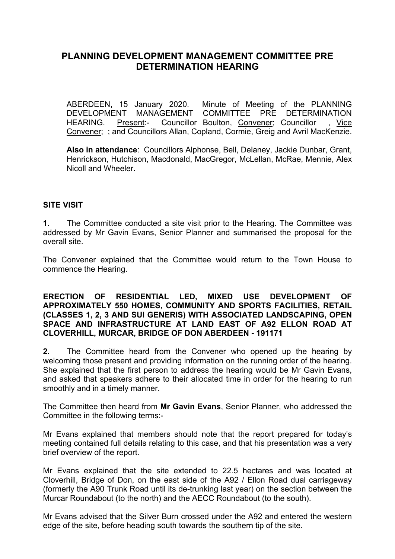## **PLANNING DEVELOPMENT MANAGEMENT COMMITTEE PRE DETERMINATION HEARING**

ABERDEEN, 15 January 2020. Minute of Meeting of the PLANNING<br>DEVELOPMENT MANAGEMENT COMMITTEE PRE DETERMINATION COMMITTEE PRE DETERMINATION HEARING. Present:- Councillor Boulton, Convener; Councillor , Vice Convener; ; and Councillors Allan, Copland, Cormie, Greig and Avril MacKenzie.

**Also in attendance**: Councillors Alphonse, Bell, Delaney, Jackie Dunbar, Grant, Henrickson, Hutchison, Macdonald, MacGregor, McLellan, McRae, Mennie, Alex Nicoll and Wheeler.

## **SITE VISIT**

**1.** The Committee conducted a site visit prior to the Hearing. The Committee was addressed by Mr Gavin Evans, Senior Planner and summarised the proposal for the overall site.

The Convener explained that the Committee would return to the Town House to commence the Hearing.

#### **ERECTION OF RESIDENTIAL LED, MIXED USE DEVELOPMENT OF APPROXIMATELY 550 HOMES, COMMUNITY AND SPORTS FACILITIES, RETAIL (CLASSES 1, 2, 3 AND SUI GENERIS) WITH ASSOCIATED LANDSCAPING, OPEN SPACE AND INFRASTRUCTURE AT LAND EAST OF A92 ELLON ROAD AT CLOVERHILL, MURCAR, BRIDGE OF DON ABERDEEN - 191171**

**2.** The Committee heard from the Convener who opened up the hearing by welcoming those present and providing information on the running order of the hearing. She explained that the first person to address the hearing would be Mr Gavin Evans, and asked that speakers adhere to their allocated time in order for the hearing to run smoothly and in a timely manner.

The Committee then heard from **Mr Gavin Evans**, Senior Planner, who addressed the Committee in the following terms:-

Mr Evans explained that members should note that the report prepared for today's meeting contained full details relating to this case, and that his presentation was a very brief overview of the report.

Mr Evans explained that the site extended to 22.5 hectares and was located at Cloverhill, Bridge of Don, on the east side of the A92 / Ellon Road dual carriageway (formerly the A90 Trunk Road until its de-trunking last year) on the section between the Murcar Roundabout (to the north) and the AECC Roundabout (to the south).

Mr Evans advised that the Silver Burn crossed under the A92 and entered the western edge of the site, before heading south towards the southern tip of the site.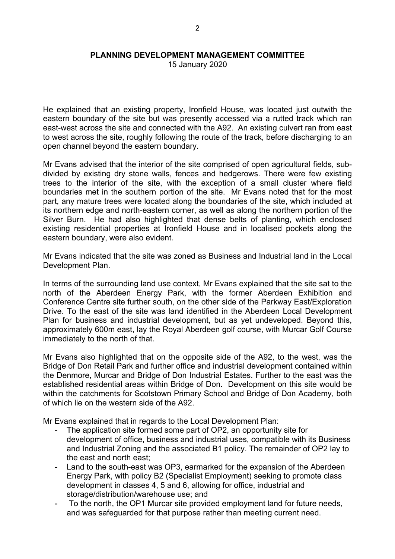15 January 2020

He explained that an existing property, Ironfield House, was located just outwith the eastern boundary of the site but was presently accessed via a rutted track which ran east-west across the site and connected with the A92. An existing culvert ran from east to west across the site, roughly following the route of the track, before discharging to an open channel beyond the eastern boundary.

Mr Evans advised that the interior of the site comprised of open agricultural fields, subdivided by existing dry stone walls, fences and hedgerows. There were few existing trees to the interior of the site, with the exception of a small cluster where field boundaries met in the southern portion of the site. Mr Evans noted that for the most part, any mature trees were located along the boundaries of the site, which included at its northern edge and north-eastern corner, as well as along the northern portion of the Silver Burn. He had also highlighted that dense belts of planting, which enclosed existing residential properties at Ironfield House and in localised pockets along the eastern boundary, were also evident.

Mr Evans indicated that the site was zoned as Business and Industrial land in the Local Development Plan.

In terms of the surrounding land use context, Mr Evans explained that the site sat to the north of the Aberdeen Energy Park, with the former Aberdeen Exhibition and Conference Centre site further south, on the other side of the Parkway East/Exploration Drive. To the east of the site was land identified in the Aberdeen Local Development Plan for business and industrial development, but as yet undeveloped. Beyond this, approximately 600m east, lay the Royal Aberdeen golf course, with Murcar Golf Course immediately to the north of that.

Mr Evans also highlighted that on the opposite side of the A92, to the west, was the Bridge of Don Retail Park and further office and industrial development contained within the Denmore, Murcar and Bridge of Don Industrial Estates. Further to the east was the established residential areas within Bridge of Don. Development on this site would be within the catchments for Scotstown Primary School and Bridge of Don Academy, both of which lie on the western side of the A92.

Mr Evans explained that in regards to the Local Development Plan:

- The application site formed some part of OP2, an opportunity site for development of office, business and industrial uses, compatible with its Business and Industrial Zoning and the associated B1 policy. The remainder of OP2 lay to the east and north east;
- Land to the south-east was OP3, earmarked for the expansion of the Aberdeen Energy Park, with policy B2 (Specialist Employment) seeking to promote class development in classes 4, 5 and 6, allowing for office, industrial and storage/distribution/warehouse use; and
- To the north, the OP1 Murcar site provided employment land for future needs, and was safeguarded for that purpose rather than meeting current need.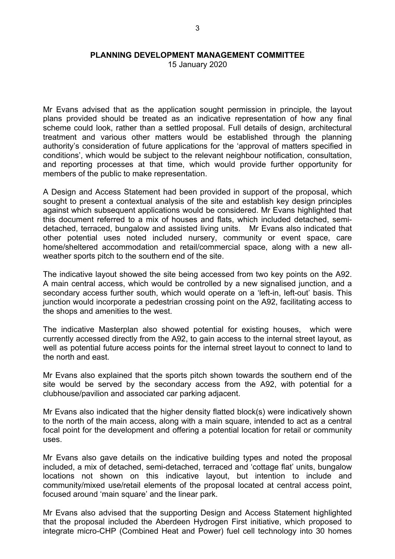15 January 2020

Mr Evans advised that as the application sought permission in principle, the layout plans provided should be treated as an indicative representation of how any final scheme could look, rather than a settled proposal. Full details of design, architectural treatment and various other matters would be established through the planning authority's consideration of future applications for the 'approval of matters specified in conditions', which would be subject to the relevant neighbour notification, consultation, and reporting processes at that time, which would provide further opportunity for members of the public to make representation.

A Design and Access Statement had been provided in support of the proposal, which sought to present a contextual analysis of the site and establish key design principles against which subsequent applications would be considered. Mr Evans highlighted that this document referred to a mix of houses and flats, which included detached, semidetached, terraced, bungalow and assisted living units. Mr Evans also indicated that other potential uses noted included nursery, community or event space, care home/sheltered accommodation and retail/commercial space, along with a new allweather sports pitch to the southern end of the site.

The indicative layout showed the site being accessed from two key points on the A92. A main central access, which would be controlled by a new signalised junction, and a secondary access further south, which would operate on a 'left-in, left-out' basis. This junction would incorporate a pedestrian crossing point on the A92, facilitating access to the shops and amenities to the west.

The indicative Masterplan also showed potential for existing houses, which were currently accessed directly from the A92, to gain access to the internal street layout, as well as potential future access points for the internal street layout to connect to land to the north and east.

Mr Evans also explained that the sports pitch shown towards the southern end of the site would be served by the secondary access from the A92, with potential for a clubhouse/pavilion and associated car parking adjacent.

Mr Evans also indicated that the higher density flatted block(s) were indicatively shown to the north of the main access, along with a main square, intended to act as a central focal point for the development and offering a potential location for retail or community uses.

Mr Evans also gave details on the indicative building types and noted the proposal included, a mix of detached, semi-detached, terraced and 'cottage flat' units, bungalow locations not shown on this indicative layout, but intention to include and community/mixed use/retail elements of the proposal located at central access point, focused around 'main square' and the linear park.

Mr Evans also advised that the supporting Design and Access Statement highlighted that the proposal included the Aberdeen Hydrogen First initiative, which proposed to integrate micro-CHP (Combined Heat and Power) fuel cell technology into 30 homes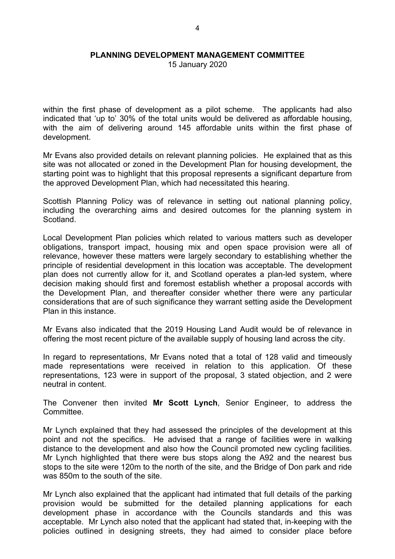15 January 2020

within the first phase of development as a pilot scheme. The applicants had also indicated that 'up to' 30% of the total units would be delivered as affordable housing, with the aim of delivering around 145 affordable units within the first phase of development.

Mr Evans also provided details on relevant planning policies. He explained that as this site was not allocated or zoned in the Development Plan for housing development, the starting point was to highlight that this proposal represents a significant departure from the approved Development Plan, which had necessitated this hearing.

Scottish Planning Policy was of relevance in setting out national planning policy, including the overarching aims and desired outcomes for the planning system in Scotland.

Local Development Plan policies which related to various matters such as developer obligations, transport impact, housing mix and open space provision were all of relevance, however these matters were largely secondary to establishing whether the principle of residential development in this location was acceptable. The development plan does not currently allow for it, and Scotland operates a plan-led system, where decision making should first and foremost establish whether a proposal accords with the Development Plan, and thereafter consider whether there were any particular considerations that are of such significance they warrant setting aside the Development Plan in this instance.

Mr Evans also indicated that the 2019 Housing Land Audit would be of relevance in offering the most recent picture of the available supply of housing land across the city.

In regard to representations, Mr Evans noted that a total of 128 valid and timeously made representations were received in relation to this application. Of these representations, 123 were in support of the proposal, 3 stated objection, and 2 were neutral in content.

The Convener then invited **Mr Scott Lynch**, Senior Engineer, to address the **Committee.** 

Mr Lynch explained that they had assessed the principles of the development at this point and not the specifics. He advised that a range of facilities were in walking distance to the development and also how the Council promoted new cycling facilities. Mr Lynch highlighted that there were bus stops along the A92 and the nearest bus stops to the site were 120m to the north of the site, and the Bridge of Don park and ride was 850m to the south of the site.

Mr Lynch also explained that the applicant had intimated that full details of the parking provision would be submitted for the detailed planning applications for each development phase in accordance with the Councils standards and this was acceptable. Mr Lynch also noted that the applicant had stated that, in-keeping with the policies outlined in designing streets, they had aimed to consider place before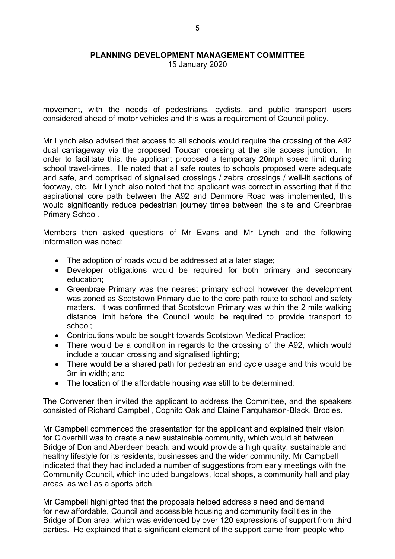15 January 2020

movement, with the needs of pedestrians, cyclists, and public transport users considered ahead of motor vehicles and this was a requirement of Council policy.

Mr Lynch also advised that access to all schools would require the crossing of the A92 dual carriageway via the proposed Toucan crossing at the site access junction. In order to facilitate this, the applicant proposed a temporary 20mph speed limit during school travel-times. He noted that all safe routes to schools proposed were adequate and safe, and comprised of signalised crossings / zebra crossings / well-lit sections of footway, etc. Mr Lynch also noted that the applicant was correct in asserting that if the aspirational core path between the A92 and Denmore Road was implemented, this would significantly reduce pedestrian journey times between the site and Greenbrae Primary School.

Members then asked questions of Mr Evans and Mr Lynch and the following information was noted:

- The adoption of roads would be addressed at a later stage;
- Developer obligations would be required for both primary and secondary education;
- Greenbrae Primary was the nearest primary school however the development was zoned as Scotstown Primary due to the core path route to school and safety matters. It was confirmed that Scotstown Primary was within the 2 mile walking distance limit before the Council would be required to provide transport to school;
- Contributions would be sought towards Scotstown Medical Practice;
- There would be a condition in regards to the crossing of the A92, which would include a toucan crossing and signalised lighting;
- There would be a shared path for pedestrian and cycle usage and this would be 3m in width; and
- The location of the affordable housing was still to be determined;

The Convener then invited the applicant to address the Committee, and the speakers consisted of Richard Campbell, Cognito Oak and Elaine Farquharson-Black, Brodies.

Mr Campbell commenced the presentation for the applicant and explained their vision for Cloverhill was to create a new sustainable community, which would sit between Bridge of Don and Aberdeen beach, and would provide a high quality, sustainable and healthy lifestyle for its residents, businesses and the wider community. Mr Campbell indicated that they had included a number of suggestions from early meetings with the Community Council, which included bungalows, local shops, a community hall and play areas, as well as a sports pitch.

Mr Campbell highlighted that the proposals helped address a need and demand for new affordable, Council and accessible housing and community facilities in the Bridge of Don area, which was evidenced by over 120 expressions of support from third parties. He explained that a significant element of the support came from people who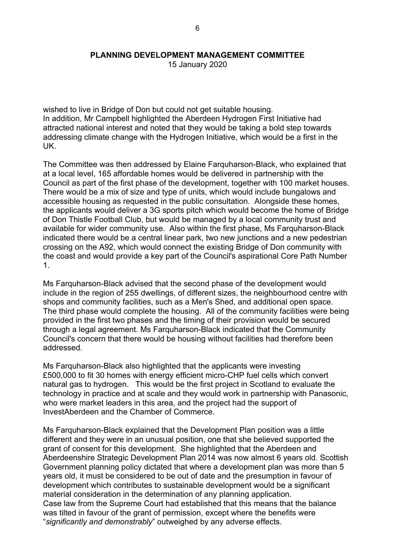15 January 2020

wished to live in Bridge of Don but could not get suitable housing. In addition, Mr Campbell highlighted the Aberdeen Hydrogen First Initiative had attracted national interest and noted that they would be taking a bold step towards addressing climate change with the Hydrogen Initiative, which would be a first in the UK.

The Committee was then addressed by Elaine Farquharson-Black, who explained that at a local level, 165 affordable homes would be delivered in partnership with the Council as part of the first phase of the development, together with 100 market houses. There would be a mix of size and type of units, which would include bungalows and accessible housing as requested in the public consultation. Alongside these homes, the applicants would deliver a 3G sports pitch which would become the home of Bridge of Don Thistle Football Club, but would be managed by a local community trust and available for wider community use. Also within the first phase, Ms Farquharson-Black indicated there would be a central linear park, two new junctions and a new pedestrian crossing on the A92, which would connect the existing Bridge of Don community with the coast and would provide a key part of the Council's aspirational Core Path Number 1.

Ms Farquharson-Black advised that the second phase of the development would include in the region of 255 dwellings, of different sizes, the neighbourhood centre with shops and community facilities, such as a Men's Shed, and additional open space. The third phase would complete the housing. All of the community facilities were being provided in the first two phases and the timing of their provision would be secured through a legal agreement. Ms Farquharson-Black indicated that the Community Council's concern that there would be housing without facilities had therefore been addressed.

Ms Farquharson-Black also highlighted that the applicants were investing £500,000 to fit 30 homes with energy efficient micro-CHP fuel cells which convert natural gas to hydrogen. This would be the first project in Scotland to evaluate the technology in practice and at scale and they would work in partnership with Panasonic, who were market leaders in this area, and the project had the support of InvestAberdeen and the Chamber of Commerce.

Ms Farquharson-Black explained that the Development Plan position was a little different and they were in an unusual position, one that she believed supported the grant of consent for this development. She highlighted that the Aberdeen and Aberdeenshire Strategic Development Plan 2014 was now almost 6 years old. Scottish Government planning policy dictated that where a development plan was more than 5 years old, it must be considered to be out of date and the presumption in favour of development which contributes to sustainable development would be a significant material consideration in the determination of any planning application. Case law from the Supreme Court had established that this means that the balance was tilted in favour of the grant of permission, except where the benefits were "*significantly and demonstrably*" outweighed by any adverse effects.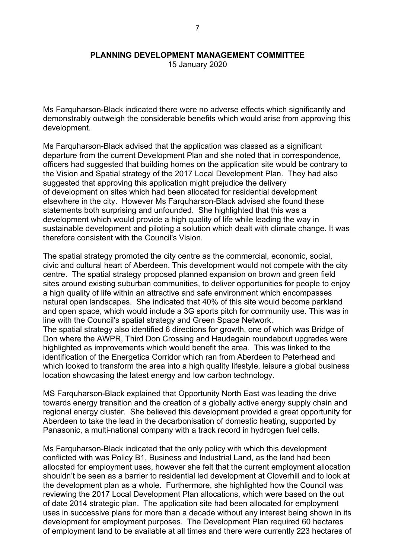15 January 2020

Ms Farquharson-Black indicated there were no adverse effects which significantly and demonstrably outweigh the considerable benefits which would arise from approving this development.

Ms Farquharson-Black advised that the application was classed as a significant departure from the current Development Plan and she noted that in correspondence, officers had suggested that building homes on the application site would be contrary to the Vision and Spatial strategy of the 2017 Local Development Plan. They had also suggested that approving this application might prejudice the delivery of development on sites which had been allocated for residential development elsewhere in the city. However Ms Farquharson-Black advised she found these statements both surprising and unfounded. She highlighted that this was a development which would provide a high quality of life while leading the way in sustainable development and piloting a solution which dealt with climate change. It was therefore consistent with the Council's Vision.

The spatial strategy promoted the city centre as the commercial, economic, social, civic and cultural heart of Aberdeen. This development would not compete with the city centre. The spatial strategy proposed planned expansion on brown and green field sites around existing suburban communities, to deliver opportunities for people to enjoy a high quality of life within an attractive and safe environment which encompasses natural open landscapes. She indicated that 40% of this site would become parkland and open space, which would include a 3G sports pitch for community use. This was in line with the Council's spatial strategy and Green Space Network.

The spatial strategy also identified 6 directions for growth, one of which was Bridge of Don where the AWPR, Third Don Crossing and Haudagain roundabout upgrades were highlighted as improvements which would benefit the area. This was linked to the identification of the Energetica Corridor which ran from Aberdeen to Peterhead and which looked to transform the area into a high quality lifestyle, leisure a global business location showcasing the latest energy and low carbon technology.

MS Farquharson-Black explained that Opportunity North East was leading the drive towards energy transition and the creation of a globally active energy supply chain and regional energy cluster. She believed this development provided a great opportunity for Aberdeen to take the lead in the decarbonisation of domestic heating, supported by Panasonic, a multi-national company with a track record in hydrogen fuel cells.

Ms Farquharson-Black indicated that the only policy with which this development conflicted with was Policy B1, Business and Industrial Land, as the land had been allocated for employment uses, however she felt that the current employment allocation shouldn't be seen as a barrier to residential led development at Cloverhill and to look at the development plan as a whole. Furthermore, she highlighted how the Council was reviewing the 2017 Local Development Plan allocations, which were based on the out of date 2014 strategic plan. The application site had been allocated for employment uses in successive plans for more than a decade without any interest being shown in its development for employment purposes. The Development Plan required 60 hectares of employment land to be available at all times and there were currently 223 hectares of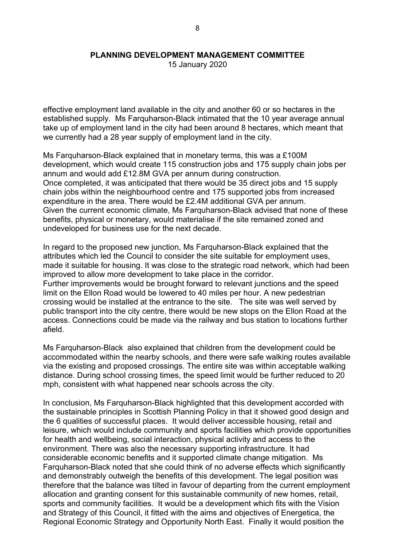15 January 2020

effective employment land available in the city and another 60 or so hectares in the established supply. Ms Farquharson-Black intimated that the 10 year average annual take up of employment land in the city had been around 8 hectares, which meant that we currently had a 28 year supply of employment land in the city.

Ms Farquharson-Black explained that in monetary terms, this was a £100M development, which would create 115 construction jobs and 175 supply chain jobs per annum and would add £12.8M GVA per annum during construction. Once completed, it was anticipated that there would be 35 direct jobs and 15 supply chain jobs within the neighbourhood centre and 175 supported jobs from increased expenditure in the area. There would be £2.4M additional GVA per annum. Given the current economic climate, Ms Farquharson-Black advised that none of these benefits, physical or monetary, would materialise if the site remained zoned and undeveloped for business use for the next decade.

In regard to the proposed new junction, Ms Farquharson-Black explained that the attributes which led the Council to consider the site suitable for employment uses, made it suitable for housing. It was close to the strategic road network, which had been improved to allow more development to take place in the corridor. Further improvements would be brought forward to relevant junctions and the speed limit on the Ellon Road would be lowered to 40 miles per hour. A new pedestrian crossing would be installed at the entrance to the site. The site was well served by public transport into the city centre, there would be new stops on the Ellon Road at the access. Connections could be made via the railway and bus station to locations further afield.

Ms Farquharson-Black also explained that children from the development could be accommodated within the nearby schools, and there were safe walking routes available via the existing and proposed crossings. The entire site was within acceptable walking distance. During school crossing times, the speed limit would be further reduced to 20 mph, consistent with what happened near schools across the city.

In conclusion, Ms Farquharson-Black highlighted that this development accorded with the sustainable principles in Scottish Planning Policy in that it showed good design and the 6 qualities of successful places. It would deliver accessible housing, retail and leisure, which would include community and sports facilities which provide opportunities for health and wellbeing, social interaction, physical activity and access to the environment. There was also the necessary supporting infrastructure. It had considerable economic benefits and it supported climate change mitigation. Ms Farquharson-Black noted that she could think of no adverse effects which significantly and demonstrably outweigh the benefits of this development. The legal position was therefore that the balance was tilted in favour of departing from the current employment allocation and granting consent for this sustainable community of new homes, retail, sports and community facilities. It would be a development which fits with the Vision and Strategy of this Council, it fitted with the aims and objectives of Energetica, the Regional Economic Strategy and Opportunity North East. Finally it would position the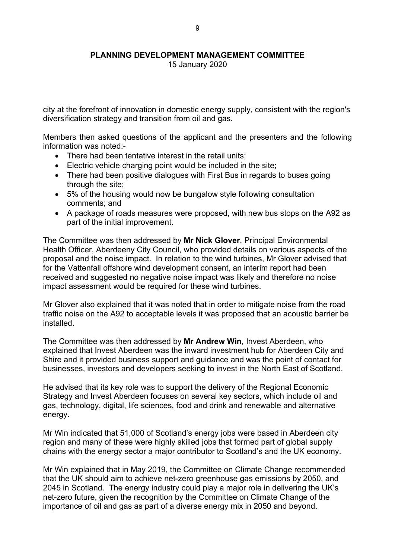15 January 2020

city at the forefront of innovation in domestic energy supply, consistent with the region's diversification strategy and transition from oil and gas.

Members then asked questions of the applicant and the presenters and the following information was noted:-

- There had been tentative interest in the retail units;
- Electric vehicle charging point would be included in the site;
- There had been positive dialogues with First Bus in regards to buses going through the site;
- 5% of the housing would now be bungalow style following consultation comments; and
- A package of roads measures were proposed, with new bus stops on the A92 as part of the initial improvement.

The Committee was then addressed by **Mr Nick Glover**, Principal Environmental Health Officer, Aberdeeny City Council, who provided details on various aspects of the proposal and the noise impact. In relation to the wind turbines, Mr Glover advised that for the Vattenfall offshore wind development consent, an interim report had been received and suggested no negative noise impact was likely and therefore no noise impact assessment would be required for these wind turbines.

Mr Glover also explained that it was noted that in order to mitigate noise from the road traffic noise on the A92 to acceptable levels it was proposed that an acoustic barrier be installed.

The Committee was then addressed by **Mr Andrew Win,** Invest Aberdeen, who explained that Invest Aberdeen was the inward investment hub for Aberdeen City and Shire and it provided business support and guidance and was the point of contact for businesses, investors and developers seeking to invest in the North East of Scotland.

He advised that its key role was to support the delivery of the Regional Economic Strategy and Invest Aberdeen focuses on several key sectors, which include oil and gas, technology, digital, life sciences, food and drink and renewable and alternative energy.

Mr Win indicated that 51,000 of Scotland's energy jobs were based in Aberdeen city region and many of these were highly skilled jobs that formed part of global supply chains with the energy sector a major contributor to Scotland's and the UK economy.

Mr Win explained that in May 2019, the Committee on Climate Change recommended that the UK should aim to achieve net-zero greenhouse gas emissions by 2050, and 2045 in Scotland. The energy industry could play a major role in delivering the UK's net-zero future, given the recognition by the Committee on Climate Change of the importance of oil and gas as part of a diverse energy mix in 2050 and beyond.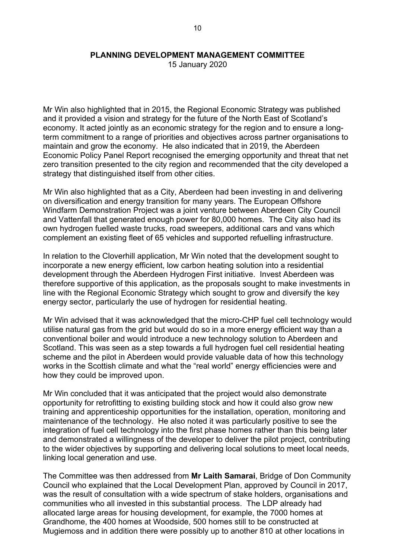15 January 2020

Mr Win also highlighted that in 2015, the Regional Economic Strategy was published and it provided a vision and strategy for the future of the North East of Scotland's economy. It acted jointly as an economic strategy for the region and to ensure a longterm commitment to a range of priorities and objectives across partner organisations to maintain and grow the economy. He also indicated that in 2019, the Aberdeen Economic Policy Panel Report recognised the emerging opportunity and threat that net zero transition presented to the city region and recommended that the city developed a strategy that distinguished itself from other cities.

Mr Win also highlighted that as a City, Aberdeen had been investing in and delivering on diversification and energy transition for many years. The European Offshore Windfarm Demonstration Project was a joint venture between Aberdeen City Council and Vattenfall that generated enough power for 80,000 homes. The City also had its own hydrogen fuelled waste trucks, road sweepers, additional cars and vans which complement an existing fleet of 65 vehicles and supported refuelling infrastructure.

In relation to the Cloverhill application, Mr Win noted that the development sought to incorporate a new energy efficient, low carbon heating solution into a residential development through the Aberdeen Hydrogen First initiative. Invest Aberdeen was therefore supportive of this application, as the proposals sought to make investments in line with the Regional Economic Strategy which sought to grow and diversify the key energy sector, particularly the use of hydrogen for residential heating.

Mr Win advised that it was acknowledged that the micro-CHP fuel cell technology would utilise natural gas from the grid but would do so in a more energy efficient way than a conventional boiler and would introduce a new technology solution to Aberdeen and Scotland. This was seen as a step towards a full hydrogen fuel cell residential heating scheme and the pilot in Aberdeen would provide valuable data of how this technology works in the Scottish climate and what the "real world" energy efficiencies were and how they could be improved upon.

Mr Win concluded that it was anticipated that the project would also demonstrate opportunity for retrofitting to existing building stock and how it could also grow new training and apprenticeship opportunities for the installation, operation, monitoring and maintenance of the technology. He also noted it was particularly positive to see the integration of fuel cell technology into the first phase homes rather than this being later and demonstrated a willingness of the developer to deliver the pilot project, contributing to the wider objectives by supporting and delivering local solutions to meet local needs, linking local generation and use.

The Committee was then addressed from **Mr Laith Samarai**, Bridge of Don Community Council who explained that the Local Development Plan, approved by Council in 2017, was the result of consultation with a wide spectrum of stake holders, organisations and communities who all invested in this substantial process. The LDP already had allocated large areas for housing development, for example, the 7000 homes at Grandhome, the 400 homes at Woodside, 500 homes still to be constructed at Mugiemoss and in addition there were possibly up to another 810 at other locations in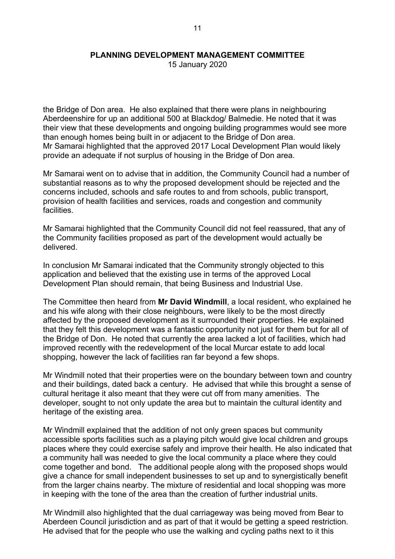15 January 2020

the Bridge of Don area. He also explained that there were plans in neighbouring Aberdeenshire for up an additional 500 at Blackdog/ Balmedie. He noted that it was their view that these developments and ongoing building programmes would see more than enough homes being built in or adjacent to the Bridge of Don area. Mr Samarai highlighted that the approved 2017 Local Development Plan would likely provide an adequate if not surplus of housing in the Bridge of Don area.

Mr Samarai went on to advise that in addition, the Community Council had a number of substantial reasons as to why the proposed development should be rejected and the concerns included, schools and safe routes to and from schools, public transport, provision of health facilities and services, roads and congestion and community facilities.

Mr Samarai highlighted that the Community Council did not feel reassured, that any of the Community facilities proposed as part of the development would actually be delivered.

In conclusion Mr Samarai indicated that the Community strongly objected to this application and believed that the existing use in terms of the approved Local Development Plan should remain, that being Business and Industrial Use.

The Committee then heard from **Mr David Windmill**, a local resident, who explained he and his wife along with their close neighbours, were likely to be the most directly affected by the proposed development as it surrounded their properties. He explained that they felt this development was a fantastic opportunity not just for them but for all of the Bridge of Don. He noted that currently the area lacked a lot of facilities, which had improved recently with the redevelopment of the local Murcar estate to add local shopping, however the lack of facilities ran far beyond a few shops.

Mr Windmill noted that their properties were on the boundary between town and country and their buildings, dated back a century. He advised that while this brought a sense of cultural heritage it also meant that they were cut off from many amenities. The developer, sought to not only update the area but to maintain the cultural identity and heritage of the existing area.

Mr Windmill explained that the addition of not only green spaces but community accessible sports facilities such as a playing pitch would give local children and groups places where they could exercise safely and improve their health. He also indicated that a community hall was needed to give the local community a place where they could come together and bond. The additional people along with the proposed shops would give a chance for small independent businesses to set up and to synergistically benefit from the larger chains nearby. The mixture of residential and local shopping was more in keeping with the tone of the area than the creation of further industrial units.

Mr Windmill also highlighted that the dual carriageway was being moved from Bear to Aberdeen Council jurisdiction and as part of that it would be getting a speed restriction. He advised that for the people who use the walking and cycling paths next to it this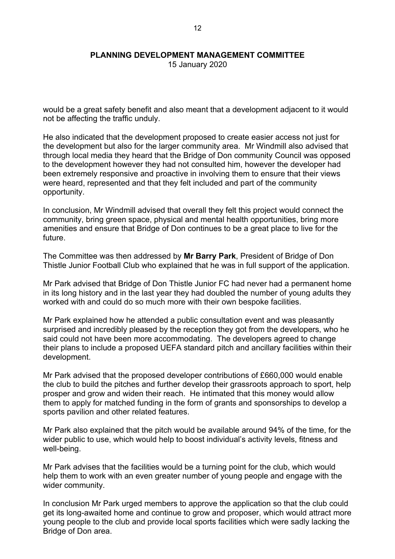15 January 2020

would be a great safety benefit and also meant that a development adjacent to it would not be affecting the traffic unduly.

He also indicated that the development proposed to create easier access not just for the development but also for the larger community area. Mr Windmill also advised that through local media they heard that the Bridge of Don community Council was opposed to the development however they had not consulted him, however the developer had been extremely responsive and proactive in involving them to ensure that their views were heard, represented and that they felt included and part of the community opportunity.

In conclusion, Mr Windmill advised that overall they felt this project would connect the community, bring green space, physical and mental health opportunities, bring more amenities and ensure that Bridge of Don continues to be a great place to live for the future.

The Committee was then addressed by **Mr Barry Park**, President of Bridge of Don Thistle Junior Football Club who explained that he was in full support of the application.

Mr Park advised that Bridge of Don Thistle Junior FC had never had a permanent home in its long history and in the last year they had doubled the number of young adults they worked with and could do so much more with their own bespoke facilities.

Mr Park explained how he attended a public consultation event and was pleasantly surprised and incredibly pleased by the reception they got from the developers, who he said could not have been more accommodating. The developers agreed to change their plans to include a proposed UEFA standard pitch and ancillary facilities within their development.

Mr Park advised that the proposed developer contributions of £660,000 would enable the club to build the pitches and further develop their grassroots approach to sport, help prosper and grow and widen their reach. He intimated that this money would allow them to apply for matched funding in the form of grants and sponsorships to develop a sports pavilion and other related features.

Mr Park also explained that the pitch would be available around 94% of the time, for the wider public to use, which would help to boost individual's activity levels, fitness and well-being.

Mr Park advises that the facilities would be a turning point for the club, which would help them to work with an even greater number of young people and engage with the wider community.

In conclusion Mr Park urged members to approve the application so that the club could get its long-awaited home and continue to grow and proposer, which would attract more young people to the club and provide local sports facilities which were sadly lacking the Bridge of Don area.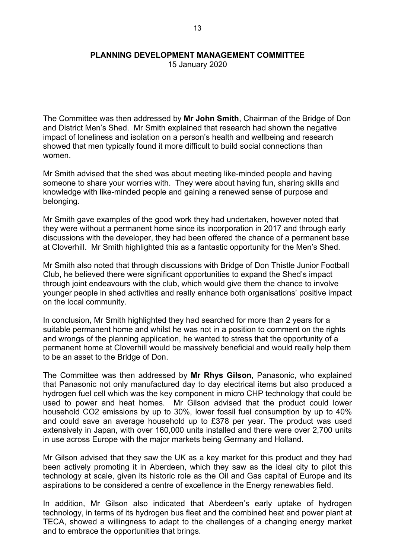15 January 2020

The Committee was then addressed by **Mr John Smith**, Chairman of the Bridge of Don and District Men's Shed. Mr Smith explained that research had shown the negative impact of loneliness and isolation on a person's health and wellbeing and research showed that men typically found it more difficult to build social connections than women.

Mr Smith advised that the shed was about meeting like-minded people and having someone to share your worries with. They were about having fun, sharing skills and knowledge with like-minded people and gaining a renewed sense of purpose and belonging.

Mr Smith gave examples of the good work they had undertaken, however noted that they were without a permanent home since its incorporation in 2017 and through early discussions with the developer, they had been offered the chance of a permanent base at Cloverhill. Mr Smith highlighted this as a fantastic opportunity for the Men's Shed.

Mr Smith also noted that through discussions with Bridge of Don Thistle Junior Football Club, he believed there were significant opportunities to expand the Shed's impact through joint endeavours with the club, which would give them the chance to involve younger people in shed activities and really enhance both organisations' positive impact on the local community.

In conclusion, Mr Smith highlighted they had searched for more than 2 years for a suitable permanent home and whilst he was not in a position to comment on the rights and wrongs of the planning application, he wanted to stress that the opportunity of a permanent home at Cloverhill would be massively beneficial and would really help them to be an asset to the Bridge of Don.

The Committee was then addressed by **Mr Rhys Gilson**, Panasonic, who explained that Panasonic not only manufactured day to day electrical items but also produced a hydrogen fuel cell which was the key component in micro CHP technology that could be used to power and heat homes. Mr Gilson advised that the product could lower household CO2 emissions by up to 30%, lower fossil fuel consumption by up to 40% and could save an average household up to £378 per year. The product was used extensively in Japan, with over 160,000 units installed and there were over 2,700 units in use across Europe with the major markets being Germany and Holland.

Mr Gilson advised that they saw the UK as a key market for this product and they had been actively promoting it in Aberdeen, which they saw as the ideal city to pilot this technology at scale, given its historic role as the Oil and Gas capital of Europe and its aspirations to be considered a centre of excellence in the Energy renewables field.

In addition, Mr Gilson also indicated that Aberdeen's early uptake of hydrogen technology, in terms of its hydrogen bus fleet and the combined heat and power plant at TECA, showed a willingness to adapt to the challenges of a changing energy market and to embrace the opportunities that brings.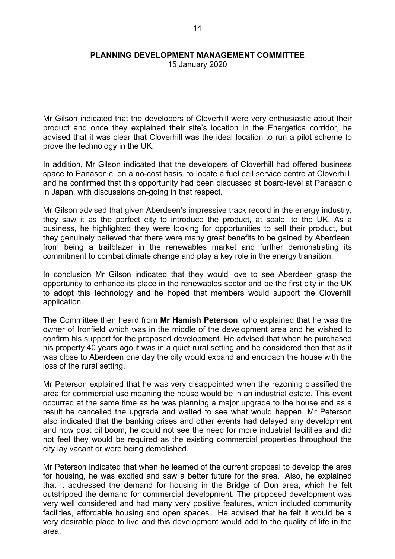15 January 2020

Mr Gilson indicated that the developers of Cloverhill were very enthusiastic about their product and once they explained their site's location in the Energetica corridor, he advised that it was clear that Cloverhill was the ideal location to run a pilot scheme to prove the technology in the UK.

In addition, Mr Gilson indicated that the developers of Cloverhill had offered business space to Panasonic, on a no-cost basis, to locate a fuel cell service centre at Cloverhill, and he confirmed that this opportunity had been discussed at board-level at Panasonic in Japan, with discussions on-going in that respect.

Mr Gilson advised that given Aberdeen's impressive track record in the energy industry, they saw it as the perfect city to introduce the product, at scale, to the UK. As a business, he highlighted they were looking for opportunities to sell their product, but they genuinely believed that there were many great benefits to be gained by Aberdeen, from being a trailblazer in the renewables market and further demonstrating its commitment to combat climate change and play a key role in the energy transition.

In conclusion Mr Gilson indicated that they would love to see Aberdeen grasp the opportunity to enhance its place in the renewables sector and be the first city in the UK to adopt this technology and he hoped that members would support the Cloverhill application.

The Committee then heard from **Mr Hamish Peterson**, who explained that he was the owner of Ironfield which was in the middle of the development area and he wished to confirm his support for the proposed development. He advised that when he purchased his property 40 years ago it was in a quiet rural setting and he considered then that as it was close to Aberdeen one day the city would expand and encroach the house with the loss of the rural setting.

Mr Peterson explained that he was very disappointed when the rezoning classified the area for commercial use meaning the house would be in an industrial estate. This event occurred at the same time as he was planning a major upgrade to the house and as a result he cancelled the upgrade and waited to see what would happen. Mr Peterson also indicated that the banking crises and other events had delayed any development and now post oil boom, he could not see the need for more industrial facilities and did not feel they would be required as the existing commercial properties throughout the city lay vacant or were being demolished.

Mr Peterson indicated that when he learned of the current proposal to develop the area for housing, he was excited and saw a better future for the area. Also, he explained that it addressed the demand for housing in the Bridge of Don area, which he felt outstripped the demand for commercial development. The proposed development was very well considered and had many very positive features, which included community facilities, affordable housing and open spaces. He advised that he felt it would be a very desirable place to live and this development would add to the quality of life in the area.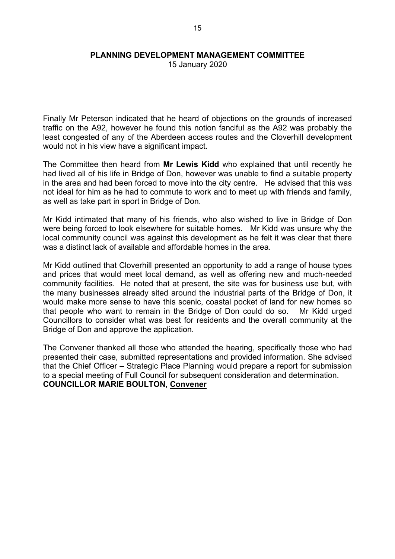15 January 2020

Finally Mr Peterson indicated that he heard of objections on the grounds of increased traffic on the A92, however he found this notion fanciful as the A92 was probably the least congested of any of the Aberdeen access routes and the Cloverhill development would not in his view have a significant impact.

The Committee then heard from **Mr Lewis Kidd** who explained that until recently he had lived all of his life in Bridge of Don, however was unable to find a suitable property in the area and had been forced to move into the city centre. He advised that this was not ideal for him as he had to commute to work and to meet up with friends and family, as well as take part in sport in Bridge of Don.

Mr Kidd intimated that many of his friends, who also wished to live in Bridge of Don were being forced to look elsewhere for suitable homes. Mr Kidd was unsure why the local community council was against this development as he felt it was clear that there was a distinct lack of available and affordable homes in the area.

Mr Kidd outlined that Cloverhill presented an opportunity to add a range of house types and prices that would meet local demand, as well as offering new and much-needed community facilities. He noted that at present, the site was for business use but, with the many businesses already sited around the industrial parts of the Bridge of Don, it would make more sense to have this scenic, coastal pocket of land for new homes so that people who want to remain in the Bridge of Don could do so. Mr Kidd urged Councillors to consider what was best for residents and the overall community at the Bridge of Don and approve the application.

The Convener thanked all those who attended the hearing, specifically those who had presented their case, submitted representations and provided information. She advised that the Chief Officer – Strategic Place Planning would prepare a report for submission to a special meeting of Full Council for subsequent consideration and determination. **COUNCILLOR MARIE BOULTON, Convener**